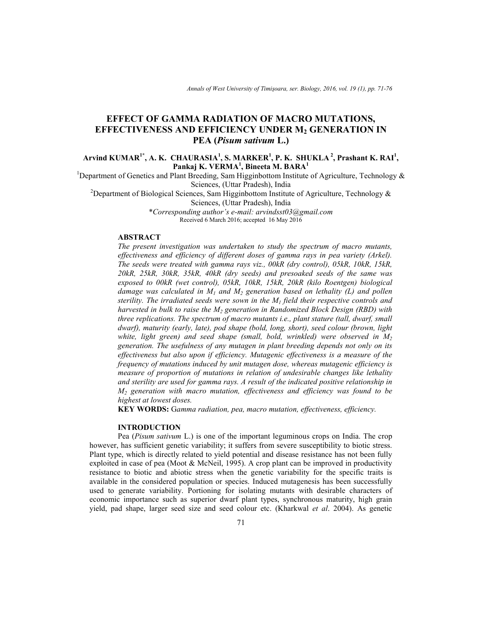*Annals of West University of Timişoara, ser. Biology, 2016, vol. 19 (1), pp. 71-76*

# **EFFECT OF GAMMA RADIATION OF MACRO MUTATIONS, EFFECTIVENESS AND EFFICIENCY UNDER M2 GENERATION IN PEA (***Pisum sativum* **L.)**

# **Arvind KUMAR1\*, A. K. CHAURASIA<sup>1</sup> , S. MARKER<sup>1</sup> , P. K. SHUKLA<sup>2</sup>, Prashant K. RAI<sup>1</sup> , Pankaj K. VERMA<sup>1</sup> , Bineeta M. BARA<sup>1</sup>**

<sup>1</sup>Department of Genetics and Plant Breeding, Sam Higginbottom Institute of Agriculture, Technology  $\&$ Sciences, (Uttar Pradesh), India

<sup>2</sup>Department of Biological Sciences, Sam Higginbottom Institute of Agriculture, Technology & Sciences, (Uttar Pradesh), India

\**Corresponding author's e-mail: arvindsst03@gmail.com*  Received 6 March 2016; accepted 16 May 2016

## **ABSTRACT**

*The present investigation was undertaken to study the spectrum of macro mutants, effectiveness and efficiency of different doses of gamma rays in pea variety (Arkel). The seeds were treated with gamma rays viz., 00kR (dry control), 05kR, 10kR, 15kR, 20kR, 25kR, 30kR, 35kR, 40kR (dry seeds) and presoaked seeds of the same was exposed to 00kR (wet control), 05kR, 10kR, 15kR, 20kR (kilo Roentgen) biological damage was calculated in M1 and M2 generation based on lethality (L) and pollen sterility. The irradiated seeds were sown in the M1 field their respective controls and harvested in bulk to raise the M2 generation in Randomized Block Design (RBD) with three replications. The spectrum of macro mutants i.e., plant stature (tall, dwarf, small dwarf), maturity (early, late), pod shape (bold, long, short), seed colour (brown, light white, light green) and seed shape (small, bold, wrinkled) were observed in M<sup>2</sup> generation. The usefulness of any mutagen in plant breeding depends not only on its effectiveness but also upon if efficiency. Mutagenic effectiveness is a measure of the frequency of mutations induced by unit mutagen dose, whereas mutagenic efficiency is measure of proportion of mutations in relation of undesirable changes like lethality and sterility are used for gamma rays. A result of the indicated positive relationship in M2 generation with macro mutation, effectiveness and efficiency was found to be highest at lowest doses.* 

**KEY WORDS:** G*amma radiation, pea, macro mutation, effectiveness, efficiency.* 

#### **INTRODUCTION**

Pea (*Pisum sativum* L.) is one of the important leguminous crops on India. The crop however, has sufficient genetic variability; it suffers from severe susceptibility to biotic stress. Plant type, which is directly related to yield potential and disease resistance has not been fully exploited in case of pea (Moot & McNeil, 1995). A crop plant can be improved in productivity resistance to biotic and abiotic stress when the genetic variability for the specific traits is available in the considered population or species. Induced mutagenesis has been successfully used to generate variability. Portioning for isolating mutants with desirable characters of economic importance such as superior dwarf plant types, synchronous maturity, high grain yield, pad shape, larger seed size and seed colour etc. (Kharkwal *et al*. 2004). As genetic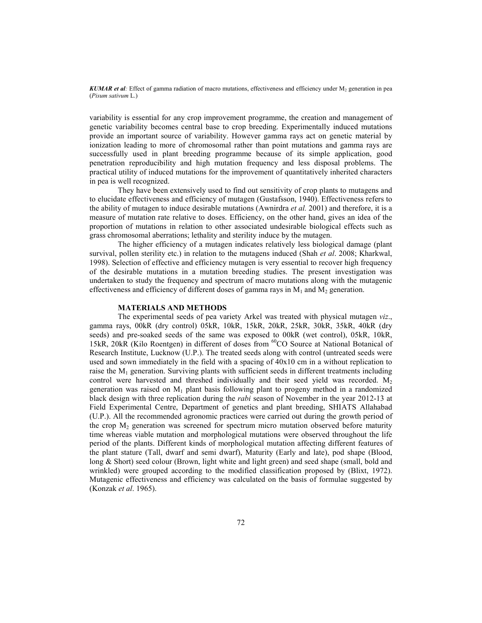*KUMAR et al*: Effect of gamma radiation of macro mutations, effectiveness and efficiency under  $M_2$  generation in pea (*Pisum sativum* L.)

variability is essential for any crop improvement programme, the creation and management of genetic variability becomes central base to crop breeding. Experimentally induced mutations provide an important source of variability. However gamma rays act on genetic material by ionization leading to more of chromosomal rather than point mutations and gamma rays are successfully used in plant breeding programme because of its simple application, good penetration reproducibility and high mutation frequency and less disposal problems. The practical utility of induced mutations for the improvement of quantitatively inherited characters in pea is well recognized.

They have been extensively used to find out sensitivity of crop plants to mutagens and to elucidate effectiveness and efficiency of mutagen (Gustafsson, 1940). Effectiveness refers to the ability of mutagen to induce desirable mutations (Awnirdra *et al.* 2001) and therefore, it is a measure of mutation rate relative to doses. Efficiency, on the other hand, gives an idea of the proportion of mutations in relation to other associated undesirable biological effects such as grass chromosomal aberrations; lethality and sterility induce by the mutagen.

 The higher efficiency of a mutagen indicates relatively less biological damage (plant survival, pollen sterility etc.) in relation to the mutagens induced (Shah *et al*. 2008; Kharkwal, 1998). Selection of effective and efficiency mutagen is very essential to recover high frequency of the desirable mutations in a mutation breeding studies. The present investigation was undertaken to study the frequency and spectrum of macro mutations along with the mutagenic effectiveness and efficiency of different doses of gamma rays in  $M_1$  and  $M_2$  generation.

### **MATERIALS AND METHODS**

The experimental seeds of pea variety Arkel was treated with physical mutagen *viz*., gamma rays, 00kR (dry control) 05kR, 10kR, 15kR, 20kR, 25kR, 30kR, 35kR, 40kR (dry seeds) and pre-soaked seeds of the same was exposed to 00kR (wet control), 05kR, 10kR, 15kR, 20kR (Kilo Roentgen) in different of doses from <sup>60</sup>CO Source at National Botanical of Research Institute, Lucknow (U.P.). The treated seeds along with control (untreated seeds were used and sown immediately in the field with a spacing of  $40x10$  cm in a without replication to raise the  $M_1$  generation. Surviving plants with sufficient seeds in different treatments including control were harvested and threshed individually and their seed yield was recorded.  $M_2$ generation was raised on  $M_1$  plant basis following plant to progeny method in a randomized black design with three replication during the *rabi* season of November in the year 2012-13 at Field Experimental Centre, Department of genetics and plant breeding, SHIATS Allahabad (U.P.). All the recommended agronomic practices were carried out during the growth period of the crop  $M<sub>2</sub>$  generation was screened for spectrum micro mutation observed before maturity time whereas viable mutation and morphological mutations were observed throughout the life period of the plants. Different kinds of morphological mutation affecting different features of the plant stature (Tall, dwarf and semi dwarf), Maturity (Early and late), pod shape (Blood, long & Short) seed colour (Brown, light white and light green) and seed shape (small, bold and wrinkled) were grouped according to the modified classification proposed by (Blixt, 1972). Mutagenic effectiveness and efficiency was calculated on the basis of formulae suggested by (Konzak *et al*. 1965).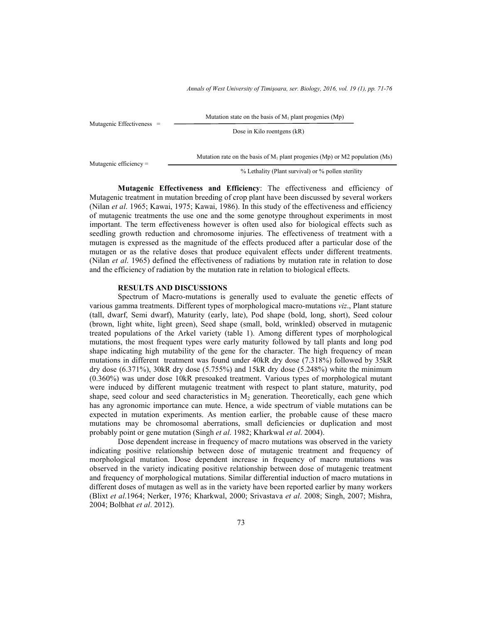*Annals of West University of Timişoara, ser. Biology, 2016, vol. 19 (1), pp. 71-76*

Mutagenic Effectiveness =

Mutation state on the basis of  $M_1$  plant progenies (Mp)

Dose in Kilo roentgens (kR)

Mutagenic efficiency =

% Lethality (Plant survival) or % pollen sterility

Mutation rate on the basis of  $M_1$  plant progenies (Mp) or M2 population (Ms)

 **Mutagenic Effectiveness and Efficiency**: The effectiveness and efficiency of Mutagenic treatment in mutation breeding of crop plant have been discussed by several workers (Nilan *et al*. 1965; Kawai, 1975; Kawai, 1986). In this study of the effectiveness and efficiency of mutagenic treatments the use one and the some genotype throughout experiments in most important. The term effectiveness however is often used also for biological effects such as seedling growth reduction and chromosome injuries. The effectiveness of treatment with a mutagen is expressed as the magnitude of the effects produced after a particular dose of the mutagen or as the relative doses that produce equivalent effects under different treatments. (Nilan *et al*. 1965) defined the effectiveness of radiations by mutation rate in relation to dose and the efficiency of radiation by the mutation rate in relation to biological effects.

#### **RESULTS AND DISCUSSIONS**

Spectrum of Macro-mutations is generally used to evaluate the genetic effects of various gamma treatments. Different types of morphological macro-mutations *viz*., Plant stature (tall, dwarf, Semi dwarf), Maturity (early, late), Pod shape (bold, long, short), Seed colour (brown, light white, light green), Seed shape (small, bold, wrinkled) observed in mutagenic treated populations of the Arkel variety (table 1). Among different types of morphological mutations, the most frequent types were early maturity followed by tall plants and long pod shape indicating high mutability of the gene for the character. The high frequency of mean mutations in different treatment was found under 40kR dry dose (7.318%) followed by 35kR dry dose  $(6.371\%)$ , 30kR dry dose  $(5.755\%)$  and 15kR dry dose  $(5.248\%)$  white the minimum (0.360%) was under dose 10kR presoaked treatment. Various types of morphological mutant were induced by different mutagenic treatment with respect to plant stature, maturity, pod shape, seed colour and seed characteristics in  $M<sub>2</sub>$  generation. Theoretically, each gene which has any agronomic importance can mute. Hence, a wide spectrum of viable mutations can be expected in mutation experiments. As mention earlier, the probable cause of these macro mutations may be chromosomal aberrations, small deficiencies or duplication and most probably point or gene mutation (Singh *et al*. 1982; Kharkwal *et al*. 2004).

 Dose dependent increase in frequency of macro mutations was observed in the variety indicating positive relationship between dose of mutagenic treatment and frequency of morphological mutation. Dose dependent increase in frequency of macro mutations was observed in the variety indicating positive relationship between dose of mutagenic treatment and frequency of morphological mutations. Similar differential induction of macro mutations in different doses of mutagen as well as in the variety have been reported earlier by many workers (Blixt *et al*.1964; Nerker, 1976; Kharkwal, 2000; Srivastava *et al*. 2008; Singh, 2007; Mishra, 2004; Bolbhat *et al*. 2012).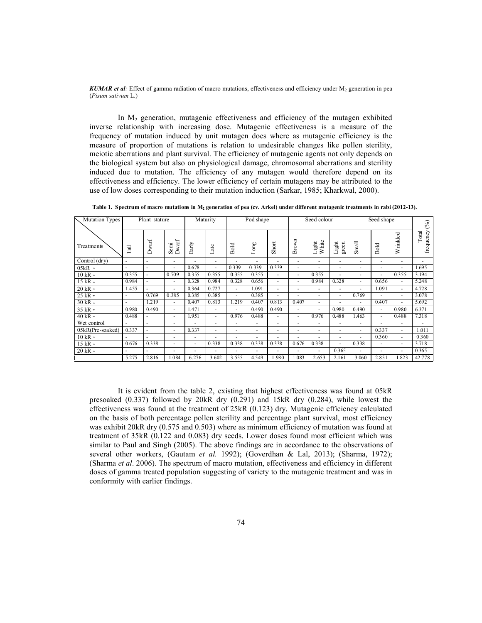*KUMAR et al*: Effect of gamma radiation of macro mutations, effectiveness and efficiency under  $M_2$  generation in pea (*Pisum sativum* L.)

In  $M<sub>2</sub>$  generation, mutagenic effectiveness and efficiency of the mutagen exhibited inverse relationship with increasing dose. Mutagenic effectiveness is a measure of the frequency of mutation induced by unit mutagen does where as mutagenic efficiency is the measure of proportion of mutations is relation to undesirable changes like pollen sterility, meiotic aberrations and plant survival. The efficiency of mutagenic agents not only depends on the biological system but also on physiological damage, chromosomal aberrations and sterility induced due to mutation. The efficiency of any mutagen would therefore depend on its effectiveness and efficiency. The lower efficiency of certain mutagens may be attributed to the use of low doses corresponding to their mutation induction (Sarkar, 1985; Kharkwal, 2000).

| Mutation Types       | Plant stature |        |               | Maturity |                          | Pod shape |       |                          | Seed colour              |                             |                         | Seed shape |                          |                          | $(\%)$             |
|----------------------|---------------|--------|---------------|----------|--------------------------|-----------|-------|--------------------------|--------------------------|-----------------------------|-------------------------|------------|--------------------------|--------------------------|--------------------|
| Treatments           | Tall          | Dwarf  | Dwarf<br>Semi | Early    | Late                     | Bold      | Long  | Short                    | Brown                    | <b>White</b><br>$\sin$<br>Ë | green<br>$_{\rm Light}$ | Small      | Bold                     | Wrinkled                 | frequency<br>Total |
| Control (drv)        | ×             |        | ۰             | ٠        | $\overline{\phantom{a}}$ |           | ٠     | ٠                        |                          | $\overline{\phantom{a}}$    |                         | ٠          | ٠                        | $\overline{a}$           | ٠                  |
| $05kR$ $\cdot$       |               | ٠      | ۰             | 0.678    | ×                        | 0.339     | 0.339 | 0.339                    | $\overline{\phantom{a}}$ |                             |                         | ۰          | $\overline{\phantom{a}}$ | $\overline{a}$           | 1.695              |
| $10$ kR $\cdot$      | 0.355         |        | 0.709         | 0.355    | 0.355                    | 0.355     | 0.355 | ٠                        | ٠                        | 0.355                       |                         | ٠          | ٠                        | 0.355                    | 3.194              |
| $15$ kR $\,$ $\cdot$ | 0.984         |        | ٠             | 0.328    | 0.984                    | 0.328     | 0.656 | ۰                        | $\sim$                   | 0.984                       | 0.328                   | ۰.         | 0.656                    | $\overline{\phantom{a}}$ | 5.248              |
| $20$ kR $\cdot$      | 1.455         | $\sim$ | ٠             | 0.364    | 0.727                    | ٠         | 1.091 | ٠                        | $\overline{\phantom{a}}$ | $\overline{\phantom{a}}$    | ۰                       | ٠          | 1.091                    | $\overline{\phantom{a}}$ | 4.728              |
| $25$ kR $\cdot$      |               | 0.769  | 0.385         | 0.385    | 0.385                    | ٠         | 0.385 | ÷                        | $\overline{\phantom{a}}$ | $\overline{\phantom{a}}$    | ٠                       | 0.769      | ٠                        | $\overline{\phantom{a}}$ | 3.078              |
| $30$ kR $\cdot$      |               | 1.219  | ٠             | 0.407    | 0.813                    | 1.219     | 0.407 | 0.813                    | 0.407                    |                             |                         | ٠          | 0.407                    | $\overline{a}$           | 5.692              |
| $35$ kR $\cdot$      | 0.980         | 0.490  | ÷             | 1.471    | $\overline{\phantom{a}}$ |           | 0.490 | 0.490                    | $\overline{\phantom{a}}$ | $\overline{\phantom{a}}$    | 0.980                   | 0.490      | $\sim$                   | 0.980                    | 6.371              |
| 40 kR »              | 0.488         |        | ٠             | 1.951    | $\sim$                   | 0.976     | 0.488 | $\overline{\phantom{a}}$ | ٠                        | 0.976                       | 0.488                   | 1.463      | $\sim$                   | 0.488                    | 7.318              |
| Wet control          |               |        | ۰             | ٠        | $\sim$                   | $\sim$    | ٠     | ٠                        | $\overline{\phantom{a}}$ | $\overline{\phantom{a}}$    | ۰                       | ٠          | ٠                        | $\overline{a}$           | ٠                  |
| 05kR(Pre-soaked)     | 0.337         |        | ۰             | 0.337    | ٠                        | $\sim$    | ۰     | ٠                        | $\overline{\phantom{a}}$ |                             |                         | ٠          | 0.337                    | ٠                        | 1.011              |
| $10$ kR $\cdot$      |               |        | ۰             | ٠        |                          | ۰.        | ٠     | ۰                        | $\overline{\phantom{a}}$ |                             | ۰                       | ٠          | 0.360                    | $\overline{\phantom{a}}$ | 0.360              |
| 15 kR »              | 0.676         | 0.338  | ۰             | ۰        | 0.338                    | 0.338     | 0.338 | 0.338                    | 0.676                    | 0.338                       | ۰.                      | 0.338      | $\overline{\phantom{a}}$ | $\overline{a}$           | 3.718              |
| $20$ kR $\cdot$      |               |        | ۰             | ٠        | ٠                        | ٠         | ٠     | ٠                        |                          | ٠                           | 0.365                   | ٠          | $\overline{\phantom{a}}$ | ٠                        | 0.365              |
|                      | 5.275         | 2.816  | 1.084         | 6.276    | 3.602                    | 3.555     | 4.549 | 1.980                    | 1.083                    | 2.653                       | 2.161                   | 3.060      | 2.851                    | 1.823                    | 42.778             |

**Table 1. Spectrum of macro mutations in M<sup>2</sup> generation of pea (cv. Arkel) under different mutagenic treatments in rabi (2012-13).** 

 It is evident from the table 2, existing that highest effectiveness was found at 05kR presoaked (0.337) followed by 20kR dry (0.291) and 15kR dry (0.284), while lowest the effectiveness was found at the treatment of 25kR (0.123) dry. Mutagenic efficiency calculated on the basis of both percentage pollen sterility and percentage plant survival, most efficiency was exhibit 20kR dry (0.575 and 0.503) where as minimum efficiency of mutation was found at treatment of 35kR (0.122 and 0.083) dry seeds. Lower doses found most efficient which was similar to Paul and Singh (2005). The above findings are in accordance to the observations of several other workers, (Gautam *et al.* 1992); (Goverdhan & Lal, 2013); (Sharma, 1972); (Sharma *et al*. 2006). The spectrum of macro mutation, effectiveness and efficiency in different doses of gamma treated population suggesting of variety to the mutagenic treatment and was in conformity with earlier findings.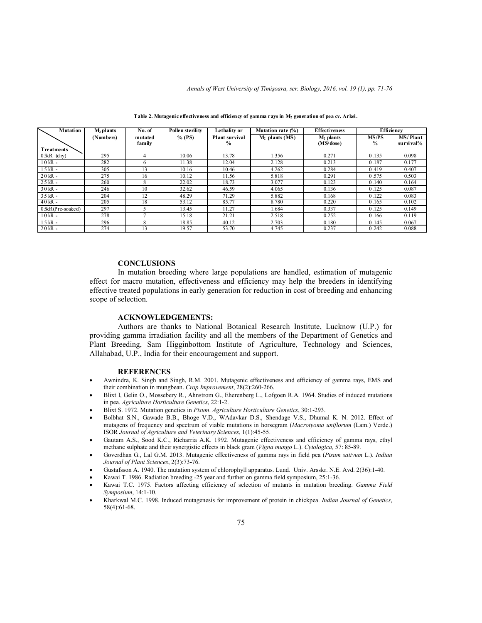| <b>Mutation</b>     | $M2$ plants | No. of            |          | Lethality or                    | Mutation rate $(\%)$ | Effectiveness            | Efficiency                    |                              |
|---------------------|-------------|-------------------|----------|---------------------------------|----------------------|--------------------------|-------------------------------|------------------------------|
|                     | (Numbers)   | mutated<br>family | $%$ (PS) | Plant survival<br>$\frac{6}{9}$ | $M2$ plants (MS)     | $M2$ plants<br>(MS/dose) | <b>MS/PS</b><br>$\frac{0}{0}$ | <b>MS/Plant</b><br>survival% |
| <b>Treatments</b>   |             |                   |          |                                 |                      |                          |                               |                              |
| $0$ 5kR $(dy)$      | 295         | 4                 | 10.06    | 13.78                           | 1.356                | 0.271                    | 0.135                         | 0.098                        |
| $10$ kR $\cdot$     | 282         | 6                 | 11.38    | 12.04                           | 2.128                | 0.213                    | 0.187                         | 0.177                        |
| $15$ kR $\degree$   | 305         | 13                | 10.16    | 10.46                           | 4.262                | 0.284                    | 0.419                         | 0.407                        |
| $20$ kR $\cdot$     | 275         | 16                | 10.12    | 11.56                           | 5.818                | 0.291                    | 0.575                         | 0.503                        |
| $25$ kR $\degree$   | 260         | 8                 | 22.02    | 18.73                           | 3.077                | 0.123                    | 0.140                         | 0.164                        |
| $30$ kR $\degree$   | 246         | 10                | 32.62    | 46.59                           | 4.065                | 0.136                    | 0.125                         | 0.087                        |
| $35$ kR $\degree$   | 204         | 12                | 48.29    | 71.29                           | 5.882                | 0.168                    | 0.122                         | 0.083                        |
| $40$ kR $\cdot$     | 205         | 18                | 53.12    | 85.77                           | 8.780                | 0.220                    | 0.165                         | 0.102                        |
| $0$ 5kR(Pre-soaked) | 297         |                   | 13.45    | 11.27                           | 1.684                | 0.337                    | 0.125                         | 0.149                        |
| $10$ kR $\cdot$     | 278         |                   | 15.18    | 21.21                           | 2.518                | 0.252                    | 0.166                         | 0.119                        |
| $15$ kR $\degree$   | 296         | 8                 | 18.85    | 40.12                           | 2.703                | 0.180                    | 0.145                         | 0.067                        |
| $20$ kR $\cdot$     | 274         | 13                | 19.57    | 53.70                           | 4.745                | 0.237                    | 0.242                         | 0.088                        |

**Table 2. Mutagenic effectiveness and efficiency of gamma rays in M<sup>2</sup> generation of pea cv. Arkel.**

#### **CONCLUSIONS**

 In mutation breeding where large populations are handled, estimation of mutagenic effect for macro mutation, effectiveness and efficiency may help the breeders in identifying effective treated populations in early generation for reduction in cost of breeding and enhancing scope of selection.

#### **ACKNOWLEDGEMENTS:**

Authors are thanks to National Botanical Research Institute, Lucknow (U.P.) for providing gamma irradiation facility and all the members of the Department of Genetics and Plant Breeding, Sam Higginbottom Institute of Agriculture, Technology and Sciences, Allahabad, U.P., India for their encouragement and support.

#### **REFERENCES**

- Awnindra, K. Singh and Singh, R.M. 2001. Mutagenic effectiveness and efficiency of gamma rays, EMS and their combination in mungbean. *Crop Improvement*, 28(2):260-266.
- Blixt I, Gelin O., Mossebery R., Ahnstrom G., Eherenberg L., Lofgoen R.A. 1964. Studies of induced mutations in pea. *Agriculture Horticulture Genetics*, 22:1-2.
- Blixt S. 1972. Mutation genetics in *Pisum*. *Agriculture Horticulture Genetics*, 30:1-293.
- Bolbhat S.N., Gawade B.B., Bhoge V.D., WAdavkar D.S., Shendage V.S., Dhumal K. N. 2012. Effect of mutagens of frequency and spectrum of viable mutations in horsegram (*Macrotyoma uniflorum* (Lam.) Verdc.) ISOR *Journal of Agriculture and Veterinary Sciences*, 1(1):45-55.
- Gautam A.S., Sood K.C., Richarria A.K. 1992. Mutagenic effectiveness and efficiency of gamma rays, ethyl methane sulphate and their synergistic effects in black gram (*Vigna mungo* L.). *Cytologica,* 57: 85-89.
- Goverdhan G., Lal G.M. 2013. Mutagenic effectiveness of gamma rays in field pea (*Pisum sativum* L.). *Indian Journal of Plant Sciences*, 2(3):73-76.
- Gustafsson A. 1940. The mutation system of chlorophyll apparatus. Lund. Univ. Arsskr. N.E. Avd. 2(36):1-40.
- Kawai T. 1986. Radiation breeding -25 year and further on gamma field symposium, 25:1-36.
- Kawai T.C. 1975. Factors affecting efficiency of selection of mutants in mutation breeding. *Gamma Field Symposium*, 14:1-10.
- Kharkwal M.C. 1998. Induced mutagenesis for improvement of protein in chickpea. *Indian Journal of Genetics*, 58(4):61-68.